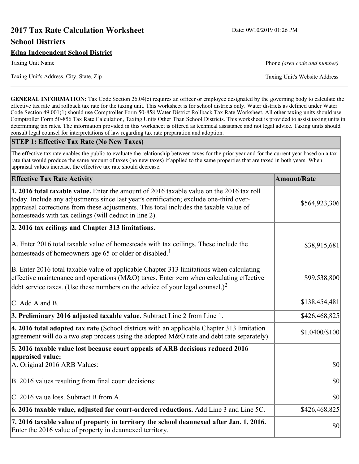# **2017 Tax Rate Calculation Worksheet** Date: 09/10/2019 01:26 PM **School Districts**

**GENERAL INFORMATION:** Tax Code Section 26.04(c) requires an officer or employee designated by the governing body to calculate the effective tax rate and rollback tax rate for the taxing unit. This worksheet is for school districts only. Water districts as defined under Water Code Section 49.001(1) should use Comptroller Form 50-858 Water District Rollback Tax Rate Worksheet. All other taxing units should use Comptroller Form 50-856 Tax Rate Calculation, Taxing Units Other Than School Districts. This worksheet is provided to assist taxing units in determining tax rates. The information provided in this worksheet is offered as technical assistance and not legal advice. Taxing units should consult legal counsel for interpretations of law regarding tax rate preparation and adoption.

#### **STEP 1: Effective Tax Rate (No New Taxes)**

The effective tax rate enables the public to evaluate the relationship between taxes for the prior year and for the current year based on a tax rate that would produce the same amount of taxes (no new taxes) if applied to the same properties that are taxed in both years. When appraisal values increase, the effective tax rate should decrease.

| <b>Effective Tax Rate Activity</b>                                                                                                                                                                                                                                                                                                     | <b>Amount/Rate</b> |
|----------------------------------------------------------------------------------------------------------------------------------------------------------------------------------------------------------------------------------------------------------------------------------------------------------------------------------------|--------------------|
| 1. 2016 total taxable value. Enter the amount of 2016 taxable value on the 2016 tax roll<br>today. Include any adjustments since last year's certification; exclude one-third over-<br>appraisal corrections from these adjustments. This total includes the taxable value of<br>homesteads with tax ceilings (will deduct in line 2). | \$564,923,306      |
| 2. 2016 tax ceilings and Chapter 313 limitations.                                                                                                                                                                                                                                                                                      |                    |
| A. Enter 2016 total taxable value of homesteads with tax ceilings. These include the<br>homesteads of homeowners age 65 or older or disabled. <sup>1</sup>                                                                                                                                                                             | \$38,915,681       |
| B. Enter 2016 total taxable value of applicable Chapter 313 limitations when calculating<br>effective maintenance and operations ( $M&O$ ) taxes. Enter zero when calculating effective<br>debt service taxes. (Use these numbers on the advice of your legal counsel.) <sup>2</sup>                                                   | \$99,538,800       |
| C. Add A and B.                                                                                                                                                                                                                                                                                                                        | \$138,454,481      |
| 3. Preliminary 2016 adjusted taxable value. Subtract Line 2 from Line 1.                                                                                                                                                                                                                                                               | \$426,468,825      |
| 4. 2016 total adopted tax rate (School districts with an applicable Chapter 313 limitation<br>agreement will do a two step process using the adopted M&O rate and debt rate separately).                                                                                                                                               | \$1.0400/\$100     |
| 5. 2016 taxable value lost because court appeals of ARB decisions reduced 2016                                                                                                                                                                                                                                                         |                    |
| appraised value:<br>A. Original 2016 ARB Values:                                                                                                                                                                                                                                                                                       | \$0                |
| B. 2016 values resulting from final court decisions:                                                                                                                                                                                                                                                                                   | \$0                |
| C. 2016 value loss. Subtract B from A.                                                                                                                                                                                                                                                                                                 | \$0                |
| 6. 2016 taxable value, adjusted for court-ordered reductions. Add Line 3 and Line 5C.                                                                                                                                                                                                                                                  | \$426,468,825      |
| 7. 2016 taxable value of property in territory the school deannexed after Jan. 1, 2016.<br>Enter the 2016 value of property in deannexed territory.                                                                                                                                                                                    | \$0                |

Taxing Unit Name **Phone** *(area code and number)* Phone *(area code and number)*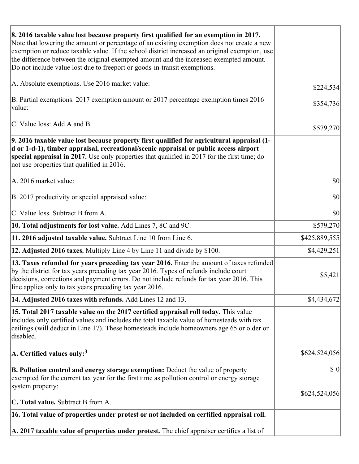| 8. 2016 taxable value lost because property first qualified for an exemption in 2017.<br>Note that lowering the amount or percentage of an existing exemption does not create a new<br>exemption or reduce taxable value. If the school district increased an original exemption, use<br>the difference between the original exempted amount and the increased exempted amount.<br>Do not include value lost due to freeport or goods-in-transit exemptions. |               |
|--------------------------------------------------------------------------------------------------------------------------------------------------------------------------------------------------------------------------------------------------------------------------------------------------------------------------------------------------------------------------------------------------------------------------------------------------------------|---------------|
| A. Absolute exemptions. Use 2016 market value:                                                                                                                                                                                                                                                                                                                                                                                                               | \$224,534     |
| B. Partial exemptions. 2017 exemption amount or 2017 percentage exemption times 2016<br>value:                                                                                                                                                                                                                                                                                                                                                               | \$354,736     |
| C. Value loss: Add A and B.                                                                                                                                                                                                                                                                                                                                                                                                                                  | \$579,270     |
| 9. 2016 taxable value lost because property first qualified for agricultural appraisal (1-<br>d or 1-d-1), timber appraisal, recreational/scenic appraisal or public access airport<br>special appraisal in 2017. Use only properties that qualified in 2017 for the first time; do<br>not use properties that qualified in 2016.                                                                                                                            |               |
| A. 2016 market value:                                                                                                                                                                                                                                                                                                                                                                                                                                        | \$0           |
| B. 2017 productivity or special appraised value:                                                                                                                                                                                                                                                                                                                                                                                                             | \$0           |
| C. Value loss. Subtract B from A.                                                                                                                                                                                                                                                                                                                                                                                                                            | \$0           |
| <b>10. Total adjustments for lost value.</b> Add Lines 7, 8C and 9C.                                                                                                                                                                                                                                                                                                                                                                                         | \$579,270     |
| 11. 2016 adjusted taxable value. Subtract Line 10 from Line 6.                                                                                                                                                                                                                                                                                                                                                                                               | \$425,889,555 |
| <b>12. Adjusted 2016 taxes.</b> Multiply Line 4 by Line 11 and divide by \$100.                                                                                                                                                                                                                                                                                                                                                                              | \$4,429,251   |
| 13. Taxes refunded for years preceding tax year 2016. Enter the amount of taxes refunded<br>by the district for tax years preceding tax year 2016. Types of refunds include court<br>decisions, corrections and payment errors. Do not include refunds for tax year 2016. This<br>line applies only to tax years preceding tax year 2016.                                                                                                                    | \$5,421       |
| 14. Adjusted 2016 taxes with refunds. Add Lines 12 and 13.                                                                                                                                                                                                                                                                                                                                                                                                   | \$4,434,672   |
| 15. Total 2017 taxable value on the 2017 certified appraisal roll today. This value<br>includes only certified values and includes the total taxable value of homesteads with tax<br>ceilings (will deduct in Line 17). These homesteads include homeowners age 65 or older or<br>disabled.                                                                                                                                                                  |               |
| $ A$ . Certified values only: <sup>3</sup>                                                                                                                                                                                                                                                                                                                                                                                                                   | \$624,524,056 |
| <b>B. Pollution control and energy storage exemption:</b> Deduct the value of property<br>exempted for the current tax year for the first time as pollution control or energy storage<br>system property:                                                                                                                                                                                                                                                    | $\delta$ -0   |
| <b>C. Total value.</b> Subtract B from A.                                                                                                                                                                                                                                                                                                                                                                                                                    | \$624,524,056 |
|                                                                                                                                                                                                                                                                                                                                                                                                                                                              |               |
| 16. Total value of properties under protest or not included on certified appraisal roll.                                                                                                                                                                                                                                                                                                                                                                     |               |
| A. 2017 taxable value of properties under protest. The chief appraiser certifies a list of                                                                                                                                                                                                                                                                                                                                                                   |               |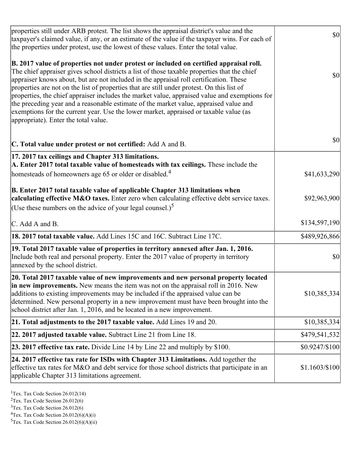| properties still under ARB protest. The list shows the appraisal district's value and the<br>taxpayer's claimed value, if any, or an estimate of the value if the taxpayer wins. For each of<br>the properties under protest, use the lowest of these values. Enter the total value.                                                                                                                                                                                                                                                                                                                                                                                                                      | $ 10\rangle$   |
|-----------------------------------------------------------------------------------------------------------------------------------------------------------------------------------------------------------------------------------------------------------------------------------------------------------------------------------------------------------------------------------------------------------------------------------------------------------------------------------------------------------------------------------------------------------------------------------------------------------------------------------------------------------------------------------------------------------|----------------|
| B. 2017 value of properties not under protest or included on certified appraisal roll.<br>The chief appraiser gives school districts a list of those taxable properties that the chief<br>appraiser knows about, but are not included in the appraisal roll certification. These<br>properties are not on the list of properties that are still under protest. On this list of<br>properties, the chief appraiser includes the market value, appraised value and exemptions for<br>the preceding year and a reasonable estimate of the market value, appraised value and<br>exemptions for the current year. Use the lower market, appraised or taxable value (as<br>appropriate). Enter the total value. | \$0            |
| C. Total value under protest or not certified: Add A and B.                                                                                                                                                                                                                                                                                                                                                                                                                                                                                                                                                                                                                                               | \$0            |
| 17. 2017 tax ceilings and Chapter 313 limitations.<br>A. Enter 2017 total taxable value of homesteads with tax ceilings. These include the<br>homesteads of homeowners age 65 or older or disabled. <sup>4</sup>                                                                                                                                                                                                                                                                                                                                                                                                                                                                                          | \$41,633,290   |
| B. Enter 2017 total taxable value of applicable Chapter 313 limitations when<br>calculating effective M&O taxes. Enter zero when calculating effective debt service taxes.<br>(Use these numbers on the advice of your legal counsel.) <sup>5</sup>                                                                                                                                                                                                                                                                                                                                                                                                                                                       | \$92,963,900   |
| C. Add A and B.                                                                                                                                                                                                                                                                                                                                                                                                                                                                                                                                                                                                                                                                                           | \$134,597,190  |
| 18. 2017 total taxable value. Add Lines 15C and 16C. Subtract Line 17C.                                                                                                                                                                                                                                                                                                                                                                                                                                                                                                                                                                                                                                   | \$489,926,866  |
| 19. Total 2017 taxable value of properties in territory annexed after Jan. 1, 2016.<br>Include both real and personal property. Enter the 2017 value of property in territory<br>annexed by the school district.                                                                                                                                                                                                                                                                                                                                                                                                                                                                                          | \$0            |
| 20. Total 2017 taxable value of new improvements and new personal property located<br>in new improvements. New means the item was not on the appraisal roll in 2016. New<br>additions to existing improvements may be included if the appraised value can be<br>determined. New personal property in a new improvement must have been brought into the<br>school district after Jan. 1, 2016, and be located in a new improvement.                                                                                                                                                                                                                                                                        | \$10,385,334   |
| 21. Total adjustments to the 2017 taxable value. Add Lines 19 and 20.                                                                                                                                                                                                                                                                                                                                                                                                                                                                                                                                                                                                                                     | \$10,385,334   |
| $ 22.2017$ adjusted taxable value. Subtract Line 21 from Line 18.                                                                                                                                                                                                                                                                                                                                                                                                                                                                                                                                                                                                                                         | \$479,541,532  |
| <b>23. 2017 effective tax rate.</b> Divide Line 14 by Line 22 and multiply by \$100.                                                                                                                                                                                                                                                                                                                                                                                                                                                                                                                                                                                                                      | \$0.9247/\$100 |
| $ 24.2017$ effective tax rate for ISDs with Chapter 313 Limitations. Add together the<br>effective tax rates for M&O and debt service for those school districts that participate in an<br>applicable Chapter 313 limitations agreement.                                                                                                                                                                                                                                                                                                                                                                                                                                                                  | \$1.1603/\$100 |

<sup>1</sup>Tex. Tax Code Section  $26.012(14)$ 

<sup>2</sup>Tex. Tax Code Section 26.012(6)

 $3$ Tex. Tax Code Section 26.012(6)

 ${}^{4}$ Tex. Tax Code Section 26.012(6)(A)(i)

 ${}^{5}$ Tex. Tax Code Section 26.012(6)(A)(ii)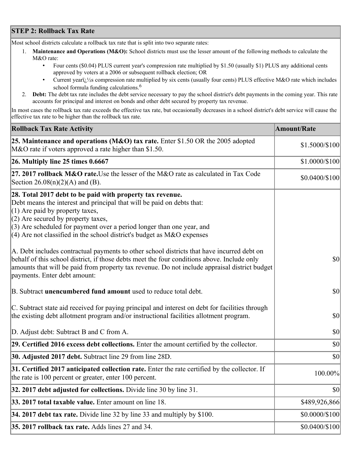## **STEP 2: Rollback Tax Rate**

Most school districts calculate a rollback tax rate that is split into two separate rates:

- 1. **Maintenance and Operations (M&O):** School districts must use the lesser amount of the following methods to calculate the M&O rate:
	- Four cents (\$0.04) PLUS current year's compression rate multiplied by \$1.50 (usually \$1) PLUS any additional cents approved by voters at a 2006 or subsequent rollback election; OR
	- Current year $i/\frac{1}{2}$ s compression rate multiplied by six cents (usually four cents) PLUS effective M&O rate which includes school formula funding calculations.<sup>6</sup>
- 2. **Debt:** The debt tax rate includes the debt service necessary to pay the school district's debt payments in the coming year. This rate accounts for principal and interest on bonds and other debt secured by property tax revenue.

In most cases the rollback tax rate exceeds the effective tax rate, but occasionally decreases in a school district's debt service will cause the effective tax rate to be higher than the rollback tax rate.

| <b>Rollback Tax Rate Activity</b>                                                                                                                                                                                                                                                                                                                                       | <b>Amount/Rate</b> |
|-------------------------------------------------------------------------------------------------------------------------------------------------------------------------------------------------------------------------------------------------------------------------------------------------------------------------------------------------------------------------|--------------------|
| 25. Maintenance and operations (M&O) tax rate. Enter \$1.50 OR the 2005 adopted<br>M&O rate if voters approved a rate higher than \$1.50.                                                                                                                                                                                                                               | \$1.5000/\$100     |
| $26.$ Multiply line 25 times $0.6667$                                                                                                                                                                                                                                                                                                                                   | \$1.0000/\$100     |
| 27. 2017 rollback M&O rate. Use the lesser of the M&O rate as calculated in Tax Code<br>Section 26.08(n)(2)(A) and (B).                                                                                                                                                                                                                                                 | \$0.0400/\$100     |
| 28. Total 2017 debt to be paid with property tax revenue.<br>Debt means the interest and principal that will be paid on debts that:<br>$(1)$ Are paid by property taxes,<br>$(2)$ Are secured by property taxes,<br>$(3)$ Are scheduled for payment over a period longer than one year, and<br>$(4)$ Are not classified in the school district's budget as M&O expenses |                    |
| A. Debt includes contractual payments to other school districts that have incurred debt on<br>behalf of this school district, if those debts meet the four conditions above. Include only<br>amounts that will be paid from property tax revenue. Do not include appraisal district budget<br>payments. Enter debt amount:                                              | $ 10\rangle$       |
| B. Subtract unencumbered fund amount used to reduce total debt.                                                                                                                                                                                                                                                                                                         | \$0                |
| C. Subtract state aid received for paying principal and interest on debt for facilities through<br>the existing debt allotment program and/or instructional facilities allotment program.                                                                                                                                                                               | $ 10\rangle$       |
| D. Adjust debt: Subtract B and C from A.                                                                                                                                                                                                                                                                                                                                | $ 10\rangle$       |
| 29. Certified 2016 excess debt collections. Enter the amount certified by the collector.                                                                                                                                                                                                                                                                                | $ 10\rangle$       |
| <b>30. Adjusted 2017 debt.</b> Subtract line 29 from line 28D.                                                                                                                                                                                                                                                                                                          | \$0                |
| 31. Certified 2017 anticipated collection rate. Enter the rate certified by the collector. If<br>the rate is 100 percent or greater, enter 100 percent.                                                                                                                                                                                                                 | 100.00%            |
| 32. 2017 debt adjusted for collections. Divide line 30 by line 31.                                                                                                                                                                                                                                                                                                      | $ 10\rangle$       |
| 33. 2017 total taxable value. Enter amount on line 18.                                                                                                                                                                                                                                                                                                                  | \$489,926,866      |
| 34. 2017 debt tax rate. Divide line 32 by line 33 and multiply by \$100.                                                                                                                                                                                                                                                                                                | \$0.0000/\$100     |
| 35. 2017 rollback tax rate. Adds lines 27 and 34.                                                                                                                                                                                                                                                                                                                       | \$0.0400/\$100     |